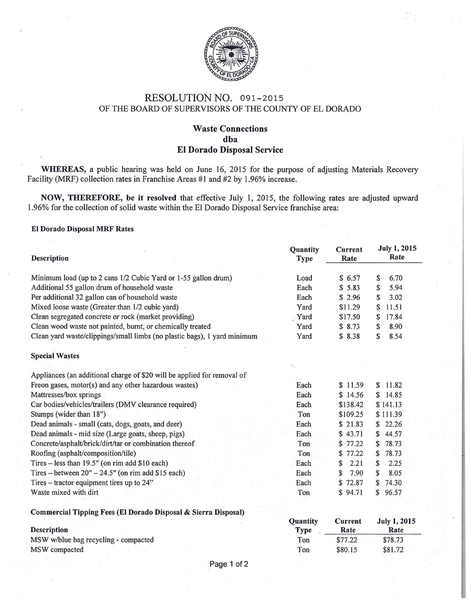

## RESOLUTION NO. 091-2015 OF THE BOARD OF SUPERVISORS OF THE COUNTY OF EL DORADO

## Waste Connections dha El Dorado Disposal Service

WHEREAS, a public hearing was held on June 16, 2015 for the purpose of adjusting Materials Recovery Facility (MRF) collection rates in Franchise Areas #1 and #2 by 1.96% increase.

NOW, THEREFORE, be it resolved that effective July 1, 2015, the following rates are adjusted upward 1.96% for the collection of solid waste within the El Dorado Disposal Service franchise area:

## El Dorado Disposal MRF Rates

| <b>Description</b>                                                       | Quantity<br><b>Type</b> | <b>Current</b><br>Rate | <b>July 1, 2015</b><br>Rate |
|--------------------------------------------------------------------------|-------------------------|------------------------|-----------------------------|
| Minimum load (up to 2 cans 1/2 Cubic Yard or 1-55 gallon drum)           | Load                    | \$6.57                 | 6.70<br>\$                  |
| Additional 55 gallon drum of household waste                             | Each                    | \$5.83                 | 5.94<br>S                   |
| Per additional 32 gallon can of household waste                          | Each                    | \$2.96                 | \$<br>3.02                  |
| Mixed loose waste (Greater than 1/2 cubic yard)                          | Yard                    | \$11.29                | 11.51<br>S                  |
| Clean segregated concrete or rock (market providing)                     | Yard                    | \$17.50                | 17.84<br>S                  |
| Clean wood waste not painted, burnt, or chemically treated               | Yard                    | \$8.73                 | 8.90<br>\$                  |
| Clean yard waste/clippings/small limbs (no plastic bags), 1 yard minimum | Yard                    | \$8.38                 | 8.54<br>\$                  |
| <b>Special Wastes</b>                                                    |                         |                        |                             |
|                                                                          |                         |                        |                             |
| Appliances (an additional charge of \$20 will be applied for removal of  |                         |                        |                             |
| Freon gases, motor(s) and any other hazardous wastes)                    | Each                    | \$11.59                | 11.82<br>$\mathbb{S}$       |
| Mattresses/box springs                                                   | Each                    | \$14.56                | \$14.85                     |
| Car bodies/vehicles/trailers (DMV clearance required)                    | Each                    | \$138.42               | \$141.13                    |
| Stumps (wider than 18")                                                  | Ton                     | \$109.25               | \$111.39                    |
| Dead animals - small (cats, dogs, goats, and deer)                       | Each                    | \$21.83                | \$22.26                     |
| Dead animals - mid size (Large goats, sheep, pigs)                       | Each                    | \$43.71                | 44.57<br>\$                 |
| Concrete/asphalt/brick/dirt/tar or combination thereof                   | Ton                     | \$77.22                | 78.73<br>S                  |
| Roofing (asphalt/composition/tile)                                       | Ton                     | \$77.22                | 78.73<br>\$                 |
| Tires - less than 19.5" (on rim add \$10 each)                           | Each                    | 2.21<br>\$             | S<br>2.25                   |
| Tires – between $20" - 24.5"$ (on rim add \$15 each)                     | Each                    | 7.90<br>S              | 8.05<br>\$                  |
| Tires – tractor equipment tires up to 24"                                | Each                    | \$72.87                | 74.30<br>S.                 |
| Waste mixed with dirt                                                    | Ton                     | \$94.71                | 96.57<br>$\mathbb{S}$       |
| Commercial Tipping Fees (El Dorado Disposal & Sierra Disposal)           |                         |                        |                             |
|                                                                          | Quantity                | Current                | <b>July 1, 2015</b>         |

**Description** MSW w/blue bag recycling- compacted MSW compacted Type Ton Ton Rate \$77.22 \$80.15 Rate \$78.73 \$81.72